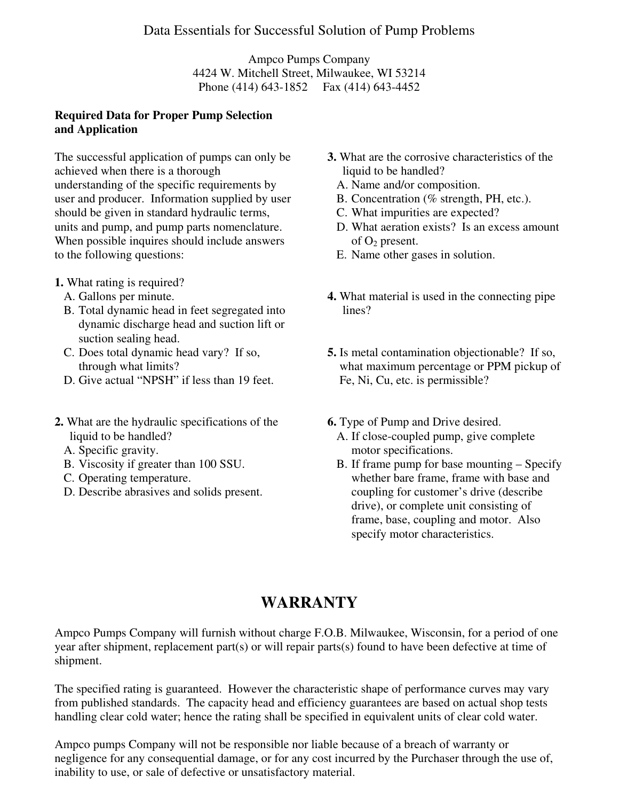Ampco Pumps Company 4424 W. Mitchell Street, Milwaukee, WI 53214 Phone (414) 643-1852 Fax (414) 643-4452

#### **Required Data for Proper Pump Selection and Application**

The successful application of pumps can only be achieved when there is a thorough understanding of the specific requirements by user and producer. Information supplied by user should be given in standard hydraulic terms, units and pump, and pump parts nomenclature. When possible inquires should include answers to the following questions:

- **1.** What rating is required?
	- A. Gallons per minute.
	- B. Total dynamic head in feet segregated into dynamic discharge head and suction lift or suction sealing head.
	- C. Does total dynamic head vary? If so, through what limits?
	- D. Give actual "NPSH" if less than 19 feet.
- **2.** What are the hydraulic specifications of the liquid to be handled?
	- A. Specific gravity.
	- B. Viscosity if greater than 100 SSU.
	- C. Operating temperature.
	- D. Describe abrasives and solids present.
- **3.** What are the corrosive characteristics of the liquid to be handled?
	- A. Name and/or composition.
	- B. Concentration (% strength, PH, etc.).
	- C. What impurities are expected?
	- D. What aeration exists? Is an excess amount of  $O_2$  present.
	- E. Name other gases in solution.
- **4.** What material is used in the connecting pipe lines?
- **5.** Is metal contamination objectionable? If so, what maximum percentage or PPM pickup of Fe, Ni, Cu, etc. is permissible?
- **6.** Type of Pump and Drive desired.
	- A. If close-coupled pump, give complete motor specifications.
	- B. If frame pump for base mounting Specify whether bare frame, frame with base and coupling for customer's drive (describe drive), or complete unit consisting of frame, base, coupling and motor. Also specify motor characteristics.

# **WARRANTY**

Ampco Pumps Company will furnish without charge F.O.B. Milwaukee, Wisconsin, for a period of one year after shipment, replacement part(s) or will repair parts(s) found to have been defective at time of shipment.

The specified rating is guaranteed. However the characteristic shape of performance curves may vary from published standards. The capacity head and efficiency guarantees are based on actual shop tests handling clear cold water; hence the rating shall be specified in equivalent units of clear cold water.

Ampco pumps Company will not be responsible nor liable because of a breach of warranty or negligence for any consequential damage, or for any cost incurred by the Purchaser through the use of, inability to use, or sale of defective or unsatisfactory material.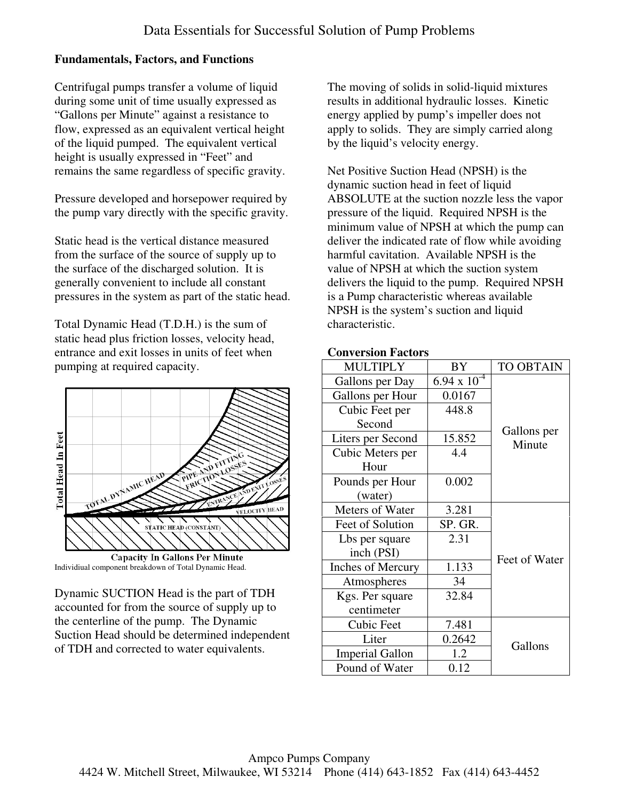## **Fundamentals, Factors, and Functions**

Centrifugal pumps transfer a volume of liquid during some unit of time usually expressed as "Gallons per Minute" against a resistance to flow, expressed as an equivalent vertical height of the liquid pumped. The equivalent vertical height is usually expressed in "Feet" and remains the same regardless of specific gravity.

Pressure developed and horsepower required by the pump vary directly with the specific gravity.

Static head is the vertical distance measured from the surface of the source of supply up to the surface of the discharged solution. It is generally convenient to include all constant pressures in the system as part of the static head.

Total Dynamic Head (T.D.H.) is the sum of static head plus friction losses, velocity head, entrance and exit losses in units of feet when pumping at required capacity.



**Capacity In Gallons Per Minute** Individiual component breakdown of Total Dynamic Head.

Dynamic SUCTION Head is the part of TDH accounted for from the source of supply up to the centerline of the pump. The Dynamic Suction Head should be determined independent of TDH and corrected to water equivalents.

The moving of solids in solid-liquid mixtures results in additional hydraulic losses. Kinetic energy applied by pump's impeller does not apply to solids. They are simply carried along by the liquid's velocity energy.

Net Positive Suction Head (NPSH) is the dynamic suction head in feet of liquid ABSOLUTE at the suction nozzle less the vapor pressure of the liquid. Required NPSH is the minimum value of NPSH at which the pump can deliver the indicated rate of flow while avoiding harmful cavitation. Available NPSH is the value of NPSH at which the suction system delivers the liquid to the pump. Required NPSH is a Pump characteristic whereas available NPSH is the system's suction and liquid characteristic.

#### **Conversion Factors**

| литерии гасил э          |                  |                       |
|--------------------------|------------------|-----------------------|
| <b>MULTIPLY</b>          | BY               | <b>TO OBTAIN</b>      |
| Gallons per Day          | 6.94 x $10^{-4}$ |                       |
| Gallons per Hour         | 0.0167           |                       |
| Cubic Feet per           | 448.8            | Gallons per<br>Minute |
| Second                   |                  |                       |
| Liters per Second        | 15.852           |                       |
| Cubic Meters per         | 4.4              |                       |
| Hour                     |                  |                       |
| Pounds per Hour          | 0.002            |                       |
| (water)                  |                  |                       |
| Meters of Water          | 3.281            |                       |
| Feet of Solution         | SP. GR.          |                       |
| Lbs per square           | 2.31             |                       |
| inch (PSI)               |                  | Feet of Water         |
| <b>Inches of Mercury</b> | 1.133            |                       |
| Atmospheres              | 34               |                       |
| Kgs. Per square          | 32.84            |                       |
| centimeter               |                  |                       |
| Cubic Feet               | 7.481            |                       |
| Liter                    | 0.2642           | Gallons               |
| <b>Imperial Gallon</b>   | 1.2              |                       |
| Pound of Water           | 0.12             |                       |